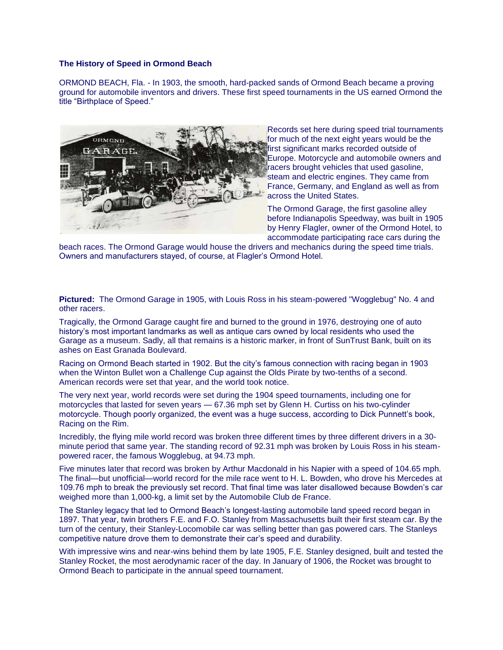## **The History of Speed in Ormond Beach**

ORMOND BEACH, Fla. - In 1903, the smooth, hard-packed sands of Ormond Beach became a proving ground for automobile inventors and drivers. These first speed tournaments in the US earned Ormond the title "Birthplace of Speed."



Records set here during speed trial tournaments for much of the next eight years would be the first significant marks recorded outside of Europe. Motorcycle and automobile owners and racers brought vehicles that used gasoline, steam and electric engines. They came from France, Germany, and England as well as from across the United States.

The Ormond Garage, the first gasoline alley before Indianapolis Speedway, was built in 1905 by Henry Flagler, owner of the Ormond Hotel, to accommodate participating race cars during the

beach races. The Ormond Garage would house the drivers and mechanics during the speed time trials. Owners and manufacturers stayed, of course, at Flagler's Ormond Hotel.

**Pictured:** The Ormond Garage in 1905, with Louis Ross in his steam-powered "Wogglebug" No. 4 and other racers.

Tragically, the Ormond Garage caught fire and burned to the ground in 1976, destroying one of auto history's most important landmarks as well as antique cars owned by local residents who used the Garage as a museum. Sadly, all that remains is a historic marker, in front of SunTrust Bank, built on its ashes on East Granada Boulevard.

Racing on Ormond Beach started in 1902. But the city's famous connection with racing began in 1903 when the Winton Bullet won a Challenge Cup against the Olds Pirate by two-tenths of a second. American records were set that year, and the world took notice.

The very next year, world records were set during the 1904 speed tournaments, including one for motorcycles that lasted for seven years — 67.36 mph set by Glenn H. Curtiss on his two-cylinder motorcycle. Though poorly organized, the event was a huge success, according to Dick Punnett's book, Racing on the Rim.

Incredibly, the flying mile world record was broken three different times by three different drivers in a 30 minute period that same year. The standing record of 92.31 mph was broken by Louis Ross in his steampowered racer, the famous Wogglebug, at 94.73 mph.

Five minutes later that record was broken by Arthur Macdonald in his Napier with a speed of 104.65 mph. The final—but unofficial—world record for the mile race went to H. L. Bowden, who drove his Mercedes at 109.76 mph to break the previously set record. That final time was later disallowed because Bowden's car weighed more than 1,000-kg, a limit set by the Automobile Club de France.

The Stanley legacy that led to Ormond Beach's longest-lasting automobile land speed record began in 1897. That year, twin brothers F.E. and F.O. Stanley from Massachusetts built their first steam car. By the turn of the century, their Stanley-Locomobile car was selling better than gas powered cars. The Stanleys competitive nature drove them to demonstrate their car's speed and durability.

With impressive wins and near-wins behind them by late 1905, F.E. Stanley designed, built and tested the Stanley Rocket, the most aerodynamic racer of the day. In January of 1906, the Rocket was brought to Ormond Beach to participate in the annual speed tournament.